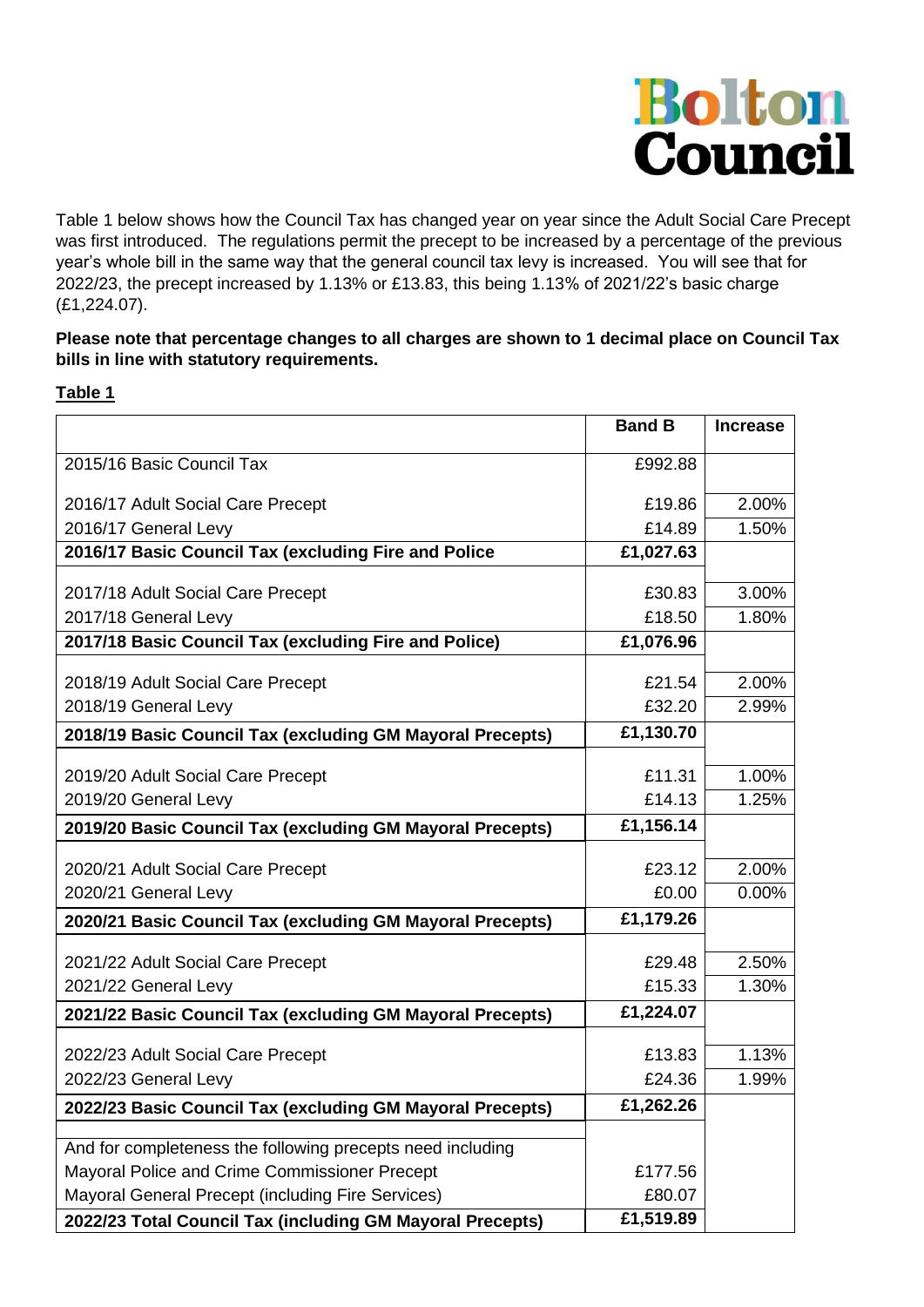

Table 1 below shows how the Council Tax has changed year on year since the Adult Social Care Precept was first introduced. The regulations permit the precept to be increased by a percentage of the previous year's whole bill in the same way that the general council tax levy is increased. You will see that for 2022/23, the precept increased by 1.13% or £13.83, this being 1.13% of 2021/22's basic charge (£1,224.07).

## **Please note that percentage changes to all charges are shown to 1 decimal place on Council Tax bills in line with statutory requirements.**

## **Table 1**

|                                                            | <b>Band B</b> | <b>Increase</b> |
|------------------------------------------------------------|---------------|-----------------|
| 2015/16 Basic Council Tax                                  | £992.88       |                 |
| 2016/17 Adult Social Care Precept                          | £19.86        | 2.00%           |
| 2016/17 General Levy                                       | £14.89        | 1.50%           |
| 2016/17 Basic Council Tax (excluding Fire and Police       | £1,027.63     |                 |
| 2017/18 Adult Social Care Precept                          | £30.83        | 3.00%           |
| 2017/18 General Levy                                       | £18.50        | 1.80%           |
| 2017/18 Basic Council Tax (excluding Fire and Police)      | £1,076.96     |                 |
| 2018/19 Adult Social Care Precept                          | £21.54        | 2.00%           |
| 2018/19 General Levy                                       | £32.20        | 2.99%           |
| 2018/19 Basic Council Tax (excluding GM Mayoral Precepts)  | £1,130.70     |                 |
|                                                            |               |                 |
| 2019/20 Adult Social Care Precept                          | £11.31        | 1.00%           |
| 2019/20 General Levy                                       | £14.13        | 1.25%           |
| 2019/20 Basic Council Tax (excluding GM Mayoral Precepts)  | £1,156.14     |                 |
| 2020/21 Adult Social Care Precept                          | £23.12        | 2.00%           |
| 2020/21 General Levy                                       | £0.00         | 0.00%           |
| 2020/21 Basic Council Tax (excluding GM Mayoral Precepts)  | £1,179.26     |                 |
| 2021/22 Adult Social Care Precept                          | £29.48        | 2.50%           |
| 2021/22 General Levy                                       | £15.33        | 1.30%           |
| 2021/22 Basic Council Tax (excluding GM Mayoral Precepts)  | £1,224.07     |                 |
|                                                            | £13.83        | 1.13%           |
| 2022/23 Adult Social Care Precept<br>2022/23 General Levy  | £24.36        | 1.99%           |
|                                                            | £1,262.26     |                 |
| 2022/23 Basic Council Tax (excluding GM Mayoral Precepts)  |               |                 |
| And for completeness the following precepts need including |               |                 |
| Mayoral Police and Crime Commissioner Precept              | £177.56       |                 |
| Mayoral General Precept (including Fire Services)          | £80.07        |                 |
| 2022/23 Total Council Tax (including GM Mayoral Precepts)  | £1,519.89     |                 |